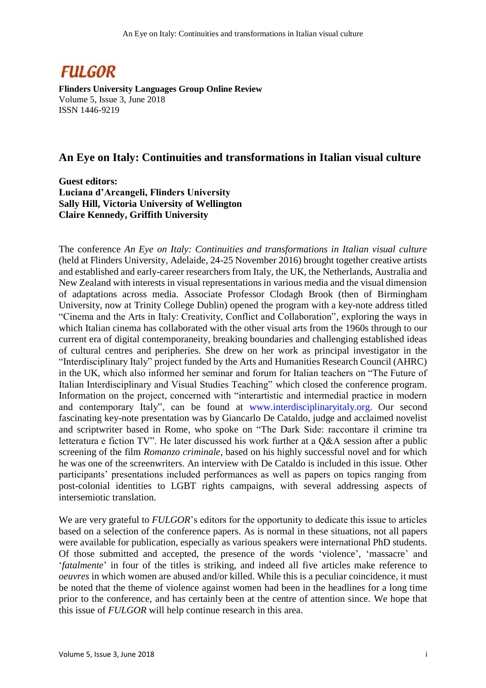

**Flinders University Languages Group Online Review** Volume 5, Issue 3, June 2018 ISSN 1446-9219

## **An Eye on Italy: Continuities and transformations in Italian visual culture**

**Guest editors: Luciana d'Arcangeli, Flinders University Sally Hill, Victoria University of Wellington Claire Kennedy, Griffith University**

The conference *An Eye on Italy: Continuities and transformations in Italian visual culture* (held at Flinders University, Adelaide, 24-25 November 2016) brought together creative artists and established and early-career researchers from Italy, the UK, the Netherlands, Australia and New Zealand with interests in visual representations in various media and the visual dimension of adaptations across media. Associate Professor Clodagh Brook (then of Birmingham University, now at Trinity College Dublin) opened the program with a key-note address titled "Cinema and the Arts in Italy: Creativity, Conflict and Collaboration", exploring the ways in which Italian cinema has collaborated with the other visual arts from the 1960s through to our current era of digital contemporaneity, breaking boundaries and challenging established ideas of cultural centres and peripheries. She drew on her work as principal investigator in the "Interdisciplinary Italy" project funded by the Arts and Humanities Research Council (AHRC) in the UK, which also informed her seminar and forum for Italian teachers on "The Future of Italian Interdisciplinary and Visual Studies Teaching" which closed the conference program. Information on the project, concerned with "interartistic and intermedial practice in modern and contemporary Italy", can be found at www.interdisciplinaryitaly.org. Our second fascinating key-note presentation was by Giancarlo De Cataldo, judge and acclaimed novelist and scriptwriter based in Rome, who spoke on "The Dark Side: raccontare il crimine tra letteratura e fiction TV". He later discussed his work further at a Q&A session after a public screening of the film *Romanzo criminale*, based on his highly successful novel and for which he was one of the screenwriters. An interview with De Cataldo is included in this issue. Other participants' presentations included performances as well as papers on topics ranging from post-colonial identities to LGBT rights campaigns, with several addressing aspects of intersemiotic translation.

We are very grateful to *FULGOR*'s editors for the opportunity to dedicate this issue to articles based on a selection of the conference papers. As is normal in these situations, not all papers were available for publication, especially as various speakers were international PhD students. Of those submitted and accepted, the presence of the words 'violence', 'massacre' and '*fatalmente*' in four of the titles is striking, and indeed all five articles make reference to *oeuvres* in which women are abused and/or killed. While this is a peculiar coincidence, it must be noted that the theme of violence against women had been in the headlines for a long time prior to the conference, and has certainly been at the centre of attention since. We hope that this issue of *FULGOR* will help continue research in this area.